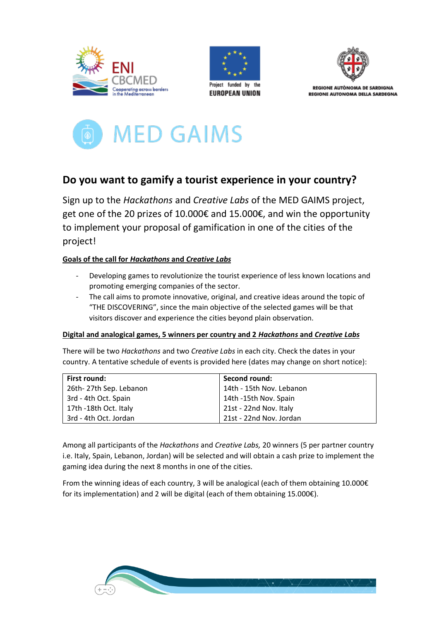







## **Do you want to gamify a tourist experience in your country?**

Sign up to the *Hackathons* and *Creative Labs* of the MED GAIMS project, get one of the 20 prizes of 10.000€ and 15.000€, and win the opportunity to implement your proposal of gamification in one of the cities of the project!

## **Goals of the call for** *Hackathons* **and** *Creative Labs*

- Developing games to revolutionize the tourist experience of less known locations and promoting emerging companies of the sector.
- The call aims to promote innovative, original, and creative ideas around the topic of "THE DISCOVERING", since the main objective of the selected games will be that visitors discover and experience the cities beyond plain observation.

## **Digital and analogical games, 5 winners per country and 2** *Hackathons* **and** *Creative Labs*

There will be two *Hackathons* and two *Creative Labs* in each city. Check the dates in your country. A tentative schedule of events is provided here (dates may change on short notice):

| First round:           | Second round:            |
|------------------------|--------------------------|
| 26th-27th Sep. Lebanon | 14th - 15th Nov. Lebanon |
| 3rd - 4th Oct. Spain   | 14th -15th Nov. Spain    |
| 17th -18th Oct. Italy  | 21st - 22nd Nov. Italy   |
| 3rd - 4th Oct. Jordan  | 21st - 22nd Nov. Jordan  |

Among all participants of the *Hackathons* and *Creative Labs,* 20 winners (5 per partner country i.e. Italy, Spain, Lebanon, Jordan) will be selected and will obtain a cash prize to implement the gaming idea during the next 8 months in one of the cities.

From the winning ideas of each country, 3 will be analogical (each of them obtaining 10.000€ for its implementation) and 2 will be digital (each of them obtaining 15.000€).